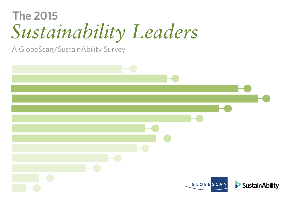# *Sustainability Leaders* **The 2015**

A GlobeScan/SustainAbility Survey

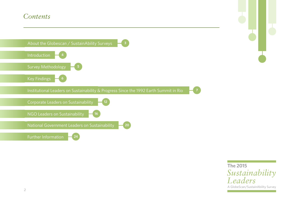### *Contents*



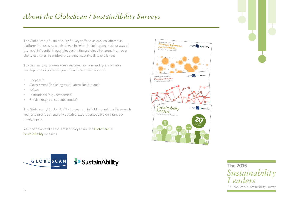The GlobeScan / SustainAbility Surveys offer a unique, collaborative platform that uses research-driven insights, including targeted surveys of the most influential thought leaders in the sustainability arena from over eighty countries, to explore the biggest sustainability challenges.

The thousands of stakeholders surveyed include leading sustainable development experts and practitioners from five sectors:

- Corporate
- Government (including multi-lateral institutions)
- NGOs
- Institutional (e.g., academics)
- Service (e.g., consultants, media)

The GlobeScan / SustainAbility Surveys are in field around four times each year, and provide a regularly updated expert perspective on a range of timely topics.

You can download all the latest surveys from the [GlobeScan](http://www.globescan.com) or [SustainAbility](http://www.sustainability.com) websites.





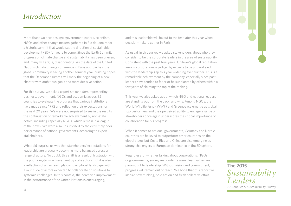### *Introduction*

More than two decades ago, government leaders, scientists, NGOs and other change makers gathered in Rio de Janeiro for a historic summit that would set the direction of sustainable development (SD) for years to come. Since the Earth Summit, progress on climate change and sustainability has been uneven, and, many will argue, disappointing. As the date of the United Nations climate change conference in Paris approaches, the global community is facing another seminal year, building hopes that the December summit will mark the beginning of a new chapter with ambitious goals and more decisive action.

For this survey, we asked expert stakeholders representing business, government, NGOs and academia across 82 countries to evaluate the progress that various institutions have made since 1992 and reflect on their expectations for the next 20 years. We were not surprised to see in the results the continuation of remarkable achievement by non-state actors, including especially NGOs, which remain in a league of their own. We were also unsurprised by the extremely poor performance of national governments, according to expert stakeholders.

What did surprise us was that stakeholders' expectations for leadership are gradually becoming more balanced across a range of actors. No doubt, this shift is a result of frustration with the poor long-term achievement by state actors. But it is also a reflection of an increasingly complex global landscape with a multitude of actors expected to collaborate on solutions to systemic challenges. In this context, the perceived improvement in the performance of the United Nations is encouraging,

and this leadership will be put to the test later this year when decision-makers gather in Paris.

As usual, in this survey we asked stakeholders about who they consider to be the corporate leaders in the area of sustainability. Consistent with the past four years, Unilever's global reputation among corporations is judged by experts to be unparalleled, with the leadership gap this year widening even further. This is a remarkable achievement by the company, especially since past leaders have tended to falter or be supplanted by others within a few years of claiming the top of the ranking.

This year we also asked about which NGO and national leaders are standing out from the pack, and why. Among NGOs, the World Wildlife Fund (WWF) and Greenpeace emerge as global top-performers and their perceived ability to engage a range of stakeholders once again underscores the critical importance of collaboration for SD progress.

When it comes to national governments, Germany and Nordic countries are believed to outperform other countries on the global stage, but Costa Rica and China are also emerging as strong challengers to European dominance in the SD sphere.

Regardless of whether talking about corporations, NGOs or governments, survey respondents were clear: values are paramount to leadership. Without vision and commitment, progress will remain out of reach. We hope that this report will inspire new thinking, bold action and fresh collective effort.



 $\Delta$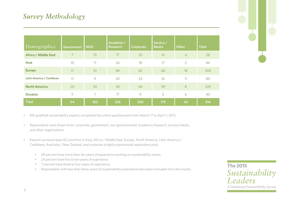| Demographics              | <b>Government</b> | <b>NGO</b> | Academic/<br><b>Research</b> | Corporate | Service /<br><b>Media</b> | <b>Other</b>   | <b>Total</b> |
|---------------------------|-------------------|------------|------------------------------|-----------|---------------------------|----------------|--------------|
| Africa / Middle East      | $\overline{7}$    | 10         | 17                           | 10        | 10                        | $\overline{4}$ | 58           |
| <b>Asia</b>               | 10                | 11         | 26                           | 18        | 17                        | $\overline{2}$ | 84           |
| <b>Europe</b>             | 11                | 41         | 88                           | 82        | 68                        | 18             | 308          |
| Latin America / Caribbean | 11                | 9          | 20                           | 23        | 16                        | 5              | 84           |
| <b>North America</b>      | 20                | 30         | 58                           | 64        | 59                        | 8              | 239          |
| Oceania                   | 5                 | и          | 17                           | 9         | 5                         | 6              | 43           |
| <b>Total</b>              | 64                | 102        | 226                          | 206       | 175                       | 43             | 816          |



• 816 qualified sustainability experts completed the online questionnaire from March 17 to April 7, 2015.

- Respondents were drawn from: corporate, government, non-governmental, academic/research, service/media, and other organizations.
- Experts surveyed span 82 countries in Asia, Africa / Middle East, Europe, North America, Latin America / Caribbean, Australia / New Zealand, and comprise a highly experienced respondent pool:
	- 69 percent have more than ten years of experience working on sustainability issues.
	- 24 percent have five to ten years of experience.
	- 7 percent have three to four years of experience.
	- Respondents with less than three years of sustainability experience have been excluded from the results.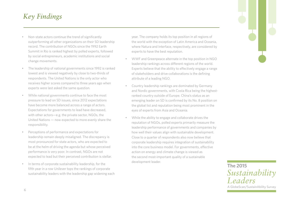### *Key Findings*

- Non-state actors continue the trend of significantly outperforming all other organizations on their SD leadership record. The contribution of NGOs since the 1992 Earth Summit in Rio is ranked highest by polled experts, followed by social entrepreneurs, academic institutions and social change movements.
- The leadership of national governments since 1992 is ranked lowest and is viewed negatively by close to two-thirds of respondents. The United Nations is the only actor who receives higher scores compared to three years ago when experts were last asked the same question.
- While national governments continue to face the most pressure to lead on SD issues, since 2012 expectations have become more balanced across a range of actors. Expectations for governments to lead have decreased, with other actors—e.g. the private sector, NGOs, the United Nations — now expected to more evenly share the responsibility.
- Perceptions of performance and expectations for leadership remain deeply misaligned. The discrepancy is most pronounced for state actors, who are expected to be at the helm of driving the agenda but whose perceived performance is very poor. In contrast, NGOs are not expected to lead but their perceived contribution is stellar.
- In terms of corporate sustainability leadership, for the fifth year in a row Unilever tops the rankings of corporate sustainability leaders with the leadership gap widening each

year. The company holds its top position in all regions of the world with the exception of Latin America and Oceania, where Natura and Interface, respectively, are considered by experts to have the best reputation.

- WWF and Greenpeace alternate in the top position in NGO leadership rankings across different regions of the world. Experts believe that the ability to effectively engage a range of stakeholders and drive collaborations is the defining attribute of a leading NGO.
- Country leadership rankings are dominated by Germany and Nordic governments, with Costa Rica being the highestranked country outside of Europe. China's status as an emerging leader on SD is confirmed by its No. 8 position on the global list and reputation being most prominent in the eyes of experts from Asia and Oceania.
- While the ability to engage and collaborate drives the reputation of NGOs, polled experts primarily measure the leadership performance of governments and companies by how well their values align with sustainable development. Close to a quarter of respondents also now believe that corporate leadership requires integration of sustainability into the core business model. For governments, effective action on energy and climate change is viewed as the second most-important quality of a sustainable development leader.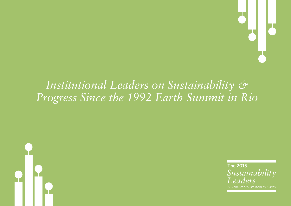

# *Institutional Leaders on Sustainability & Progress Since the 1992 Earth Summit in Rio*



*Sustainability Leaders* **The 2015**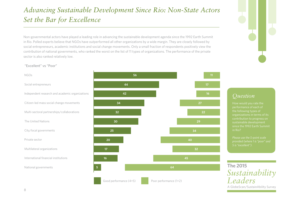## *Advancing Sustainable Development Since Rio: Non-State Actors Set the Bar for Excellence*

Non-governmental actors have played a leading role in advancing the sustainable development agenda since the 1992 Earth Summit in Rio. Polled experts believe that NGOs have outperformed all other organizations by a wide margin. They are closely followed by social entrepreneurs, academic institutions and social change movements. Only a small fraction of respondents positively view the contribution of national governments, who ranked the worst on the list of 11 types of organizations. The performance of the private sector is also ranked relatively low.

"Excellent" vs "Poor"

Social entrepreneurs

The United Nations

Private sector

City/local governments

Multilateral organizations

National governments

International financial institutions

NGOs





### *Question*

How would you rate the performance of each of organizations in terms of its contribution to progress on sustainable development since the 1992 Earth Summit

*Please use the 5-point scale 5 is "excellent").*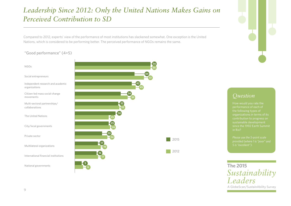## *Leadership Since 2012: Only the United Nations Makes Gains on Perceived Contribution to SD*

Compared to 2012, experts' view of the performance of most institutions has slackened somewhat. One exception is the United Nations, which is considered to be performing better. The perceived performance of NGOs remains the same.

### "Good performance" (4+5)

#### NGOs

Social entrepreneurs

Independent research and academic organizations

Citizen-led mass social change movements

Multi-sectoral partnerships/ collaborations

The United Nations

City/local governments

Private sector

Multilateral organizations

International financial institutions

National governments





### *Question*

performance of each of contribution to progress on sustainable development since the 1992 Earth Summit

*Please use the 5-point scale*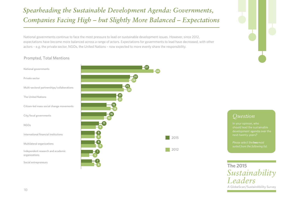## *Spearheading the Sustainable Development Agenda: Governments, Companies Facing High – but Slightly More Balanced – Expectations*

National governments continue to face the most pressure to lead on sustainable development issues. However, since 2012, expectations have become more balanced across a range of actors. Expectations for governments to lead have decreased, with other actors – e.g. the private sector, NGOs, the United Nations – now expected to more evenly share the responsibility.



#### Prompted, Total Mentions

## National governments Private sector Multi-sectoral partnerships/collaborations The United Nations Citizen-led mass social change movements City/local governments NGOs International financial institutions

Multilateral organizations

Independent research and academic organizations

Social entrepreneurs



*Question*

should lead the sustainable development agenda over the next twenty years?

*Please select the two most*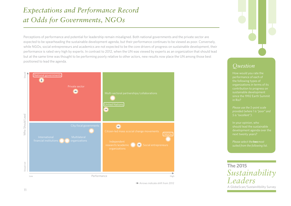## *Expectations and Performance Record at Odds for Governments, NGOs*

Perceptions of performance and potential for leadership remain misaligned. Both national governments and the private sector are expected to be spearheading the sustainable development agenda, but their performance continues to be viewed as poor. Conversely, while NGOs, social entrepreneurs and academics are not expected to be the core drivers of progress on sustainable development, their performance is rated very high by experts. In contrast to 2012, when the UN was viewed by experts as an organization that should lead but at the same time was thought to be performing poorly relative to other actors, new results now place the UN among those best positioned to lead the agenda.



Arrows indicate shift from 2012

### *Question*

How would you rate the performance of each of the following types of contribution to progress on sustainable development since the 1992 Earth Summit

*Please use the 5-point scale* 

should lead the sustainable development agenda over the

*Please select the two most* 

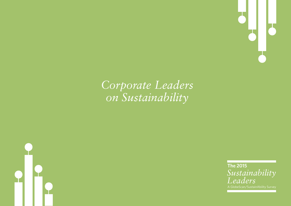

# *Corporate Leaders on Sustainability*



*Sustainability Leaders* **The 2015**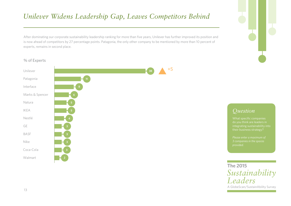## *Unilever Widens Leadership Gap, Leaves Competitors Behind*

After dominating our corporate sustainability leadership ranking for more than five years, Unilever has further improved its position and is now ahead of competitors by 27 percentage points. Patagonia, the only other company to be mentioned by more than 10 percent of

#### % of Experts

experts, remains in second place.



### *Question*

What specific companies

*Please enter a maximum of 3 companies in the spaces* 

*Sustainability Leaders* **The 2015**

A GlobeScan/SustainAbility Survey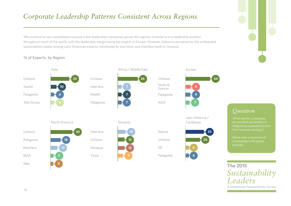## *Corporate Leadership Patterns Consistent Across Regions*

We continue to see consolidation around a few leadership companies across the regions. Unilever is in a leadership position throughout much of the world, with the leadership margin being the largest in Europe. However, Natura is perceived as the undisputed sustainability leader among Latin American experts, mentioned by one-third, and Interface leads in Oceania.

% of Experts, by Region



A GlobeScan/SustainAbility Survey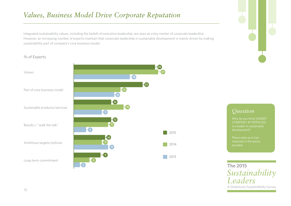## *Values, Business Model Drive Corporate Reputation*

Integrated sustainability values, including the beliefs of executive leadership, are seen as a key marker of corporate leadership. However, an increasing number of experts maintain that corporate leadership in sustainable development is mainly driven by making sustainability part of company's core business model.

#### % of Experts

#### Values

Part of core business model

Sustainable products/services

Results / "walk the talk"

Ambitious targets/policies

Long-term commitment



### *Question*

COMPANY #1 FROM Q3]

*Please enter up to two*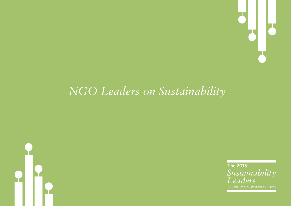

# *NGO Leaders on Sustainability*



*Sustainability Leaders* **The 2015**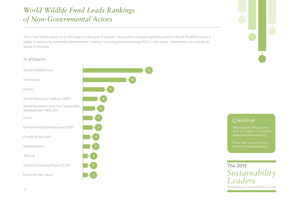## *World Wildlife Fund Leads Rankings of Non-Governmental Actors*

Only a few NGOs stand out as SD leaders in the eyes of experts. One quarter of experts globally mention World Wildlife Fund as a leader in advancing sustainable development, making it a strong presence among NGOs in this space. Greenpeace also stands far ahead of the pack.

#### % of Experts

World Wildlife Fund **25**

Greenpeace

World Resources Institute (WRI) **6**

World Business Council for Sustainable Development (WBCSD) **<sup>5</sup>**

Environmental Defense Fund (EDF) **4**

Friends of the Earth **3**

United Nations **3**

Carbon Disclosure Project (CDP) **2**

Forum for the Future





### *Question*

What specific NGOs do you sustainable development?

*Please enter a maximum of 3*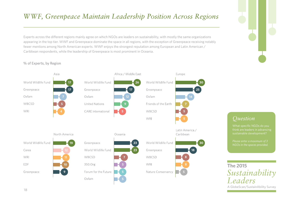## *WWF, Greenpeace Maintain Leadership Position Across Regions*

Experts across the different regions mainly agree on which NGOs are leaders on sustainability, with mostly the same organizations appearing in the top tier. WWF and Greenpeace dominate the space in all regions, with the exception of Greenpeace receiving notably fewer mentions among North American experts. WWF enjoys the strongest reputation among European and Latin American / Caribbean respondents, while the leadership of Greenpeace is most prominent in Oceania.

% of Experts, by Region





### *Question*

What specific NGOs do you think are leaders in advancing sustainable development?

*Please enter a maximum of 3*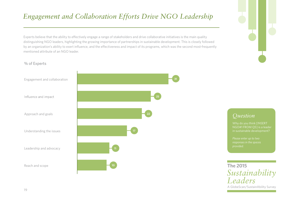## *Engagement and Collaboration Efforts Drive NGO Leadership*

Experts believe that the ability to effectively engage a range of stakeholders and drive collaborative initiatives is the main quality distinguishing NGO leaders, highlighting the growing importance of partnerships in sustainable development. This is closely followed by an organization's ability to exert influence, and the effectiveness and impact of its programs, which was the second most-frequently mentioned attribute of an NGO leader.

#### % of Experts



### *Question*

NGO#1 FROM Q5] is a leader in sustainable development?

*Please enter up to two responses in the spaces* 

*Sustainability Leaders* **The 2015**

A GlobeScan/SustainAbility Survey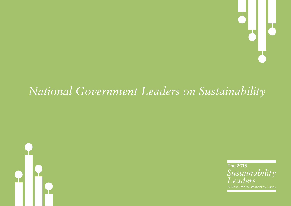

# *National Government Leaders on Sustainability*



*Sustainability Leaders* **The 2015**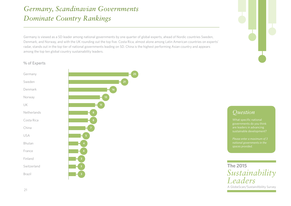## *Germany, Scandinavian Governments Dominate Country Rankings*

Germany is viewed as a SD leader among national governments by one quarter of global experts, ahead of Nordic countries Sweden, Denmark, and Norway, and with the UK rounding out the top five. Costa Rica, almost alone among Latin American countries on experts' radar, stands out in the top tier of national governments leading on SD. China is the highest performing Asian country and appears among the top ten global country sustainability leaders.

#### % of Experts



### *Question*

What specific national are leaders in advancing sustainable development?

*Please enter a maximum of 3*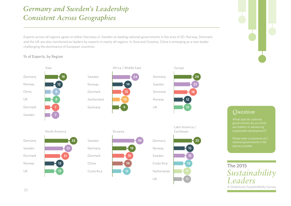## *Germany and Sweden's Leadership Consistent Across Geographies*

Experts across all regions agree on either Germany or Sweden as leading national governments in the area of SD. Norway, Denmark, and the UK are also mentioned as leaders by experts in nearly all regions. In Asia and Oceania, China is emerging as a new leader challenging the dominance of European countries.

% of Experts, by Region



UK

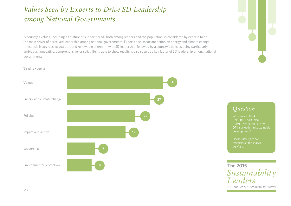## *Values Seen by Experts to Drive SD Leadership among National Governments*

A country's values, including its culture of support for SD both among leaders and the population, is considered by experts to be the main driver of perceived leadership among national governments. Experts also associate action on energy and climate change — especially aggressive goals around renewable energy — with SD leadership, followed by a country's policies being particularly ambitious, innovative, comprehensive, or strict. Being able to show results is also seen as a key factor of SD leadership among national governments.

#### % of Experts



### *Question*

**INSERT NATIONAL** GOVERNMENT#1 FROM development?

*Please enter up to two responses in the spaces* 

A GlobeScan/SustainAbility Survey *Sustainability Leaders* **The 2015**